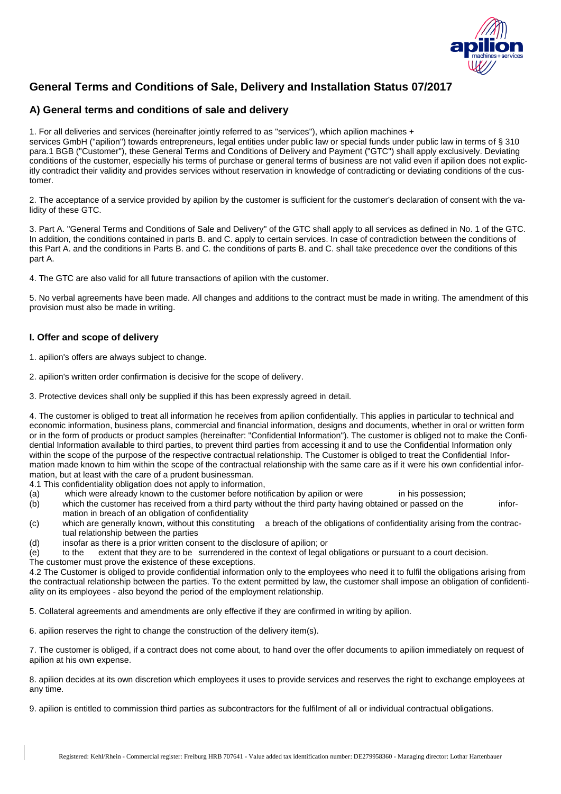

# **General Terms and Conditions of Sale, Delivery and Installation Status 07/2017**

# **A) General terms and conditions of sale and delivery**

1. For all deliveries and services (hereinafter jointly referred to as "services"), which apilion machines + services GmbH ("apilion") towards entrepreneurs, legal entities under public law or special funds under public law in terms of § 310 para.1 BGB ("Customer"), these General Terms and Conditions of Delivery and Payment ("GTC") shall apply exclusively. Deviating conditions of the customer, especially his terms of purchase or general terms of business are not valid even if apilion does not explicitly contradict their validity and provides services without reservation in knowledge of contradicting or deviating conditions of the customer.

2. The acceptance of a service provided by apilion by the customer is sufficient for the customer's declaration of consent with the validity of these GTC.

3. Part A. "General Terms and Conditions of Sale and Delivery" of the GTC shall apply to all services as defined in No. 1 of the GTC. In addition, the conditions contained in parts B. and C. apply to certain services. In case of contradiction between the conditions of this Part A. and the conditions in Parts B. and C. the conditions of parts B. and C. shall take precedence over the conditions of this part A.

4. The GTC are also valid for all future transactions of apilion with the customer.

5. No verbal agreements have been made. All changes and additions to the contract must be made in writing. The amendment of this provision must also be made in writing.

# **I. Offer and scope of delivery**

1. apilion's offers are always subject to change.

2. apilion's written order confirmation is decisive for the scope of delivery.

3. Protective devices shall only be supplied if this has been expressly agreed in detail.

4. The customer is obliged to treat all information he receives from apilion confidentially. This applies in particular to technical and economic information, business plans, commercial and financial information, designs and documents, whether in oral or written form or in the form of products or product samples (hereinafter: "Confidential Information"). The customer is obliged not to make the Confidential Information available to third parties, to prevent third parties from accessing it and to use the Confidential Information only within the scope of the purpose of the respective contractual relationship. The Customer is obliged to treat the Confidential Information made known to him within the scope of the contractual relationship with the same care as if it were his own confidential information, but at least with the care of a prudent businessman.

4.1 This confidentiality obligation does not apply to information,

(a) which were already known to the customer before notification by apilion or were in his possession;

(b) which the customer has received from a third party without the third party having obtained or passed on the information in breach of an obligation of confidentiality

- (c) which are generally known, without this constituting a breach of the obligations of confidentiality arising from the contractual relationship between the parties
- (d) insofar as there is a prior written consent to the disclosure of apilion; or
- (e) to the extent that they are to be surrendered in the context of legal obligations or pursuant to a court decision.

The customer must prove the existence of these exceptions.

4.2 The Customer is obliged to provide confidential information only to the employees who need it to fulfil the obligations arising from the contractual relationship between the parties. To the extent permitted by law, the customer shall impose an obligation of confidentiality on its employees - also beyond the period of the employment relationship.

5. Collateral agreements and amendments are only effective if they are confirmed in writing by apilion.

6. apilion reserves the right to change the construction of the delivery item(s).

7. The customer is obliged, if a contract does not come about, to hand over the offer documents to apilion immediately on request of apilion at his own expense.

8. apilion decides at its own discretion which employees it uses to provide services and reserves the right to exchange employees at any time.

9. apilion is entitled to commission third parties as subcontractors for the fulfilment of all or individual contractual obligations.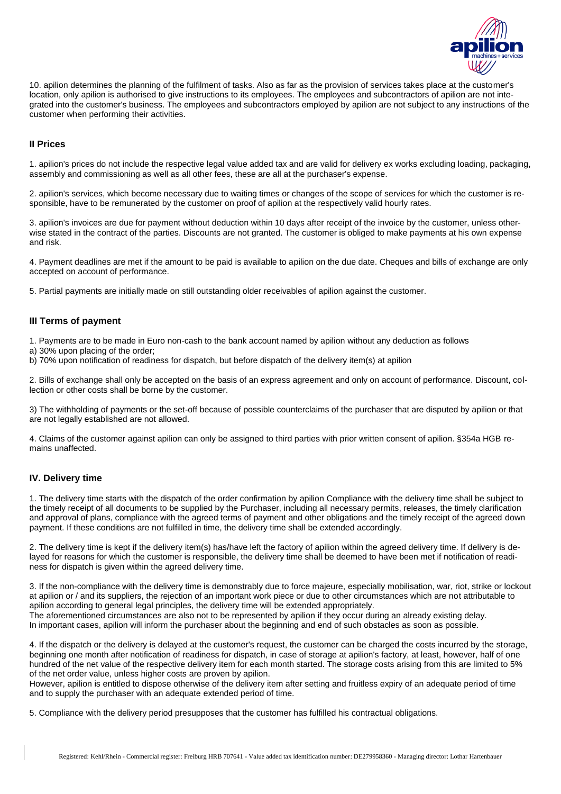

10. apilion determines the planning of the fulfilment of tasks. Also as far as the provision of services takes place at the customer's location, only apilion is authorised to give instructions to its employees. The employees and subcontractors of apilion are not integrated into the customer's business. The employees and subcontractors employed by apilion are not subject to any instructions of the customer when performing their activities.

#### **II Prices**

1. apilion's prices do not include the respective legal value added tax and are valid for delivery ex works excluding loading, packaging, assembly and commissioning as well as all other fees, these are all at the purchaser's expense.

2. apilion's services, which become necessary due to waiting times or changes of the scope of services for which the customer is responsible, have to be remunerated by the customer on proof of apilion at the respectively valid hourly rates.

3. apilion's invoices are due for payment without deduction within 10 days after receipt of the invoice by the customer, unless otherwise stated in the contract of the parties. Discounts are not granted. The customer is obliged to make payments at his own expense and risk.

4. Payment deadlines are met if the amount to be paid is available to apilion on the due date. Cheques and bills of exchange are only accepted on account of performance.

5. Partial payments are initially made on still outstanding older receivables of apilion against the customer.

#### **III Terms of payment**

1. Payments are to be made in Euro non-cash to the bank account named by apilion without any deduction as follows

- a) 30% upon placing of the order;
- b) 70% upon notification of readiness for dispatch, but before dispatch of the delivery item(s) at apilion

2. Bills of exchange shall only be accepted on the basis of an express agreement and only on account of performance. Discount, collection or other costs shall be borne by the customer.

3) The withholding of payments or the set-off because of possible counterclaims of the purchaser that are disputed by apilion or that are not legally established are not allowed.

4. Claims of the customer against apilion can only be assigned to third parties with prior written consent of apilion. §354a HGB remains unaffected.

## **IV. Delivery time**

1. The delivery time starts with the dispatch of the order confirmation by apilion Compliance with the delivery time shall be subject to the timely receipt of all documents to be supplied by the Purchaser, including all necessary permits, releases, the timely clarification and approval of plans, compliance with the agreed terms of payment and other obligations and the timely receipt of the agreed down payment. If these conditions are not fulfilled in time, the delivery time shall be extended accordingly.

2. The delivery time is kept if the delivery item(s) has/have left the factory of apilion within the agreed delivery time. If delivery is delayed for reasons for which the customer is responsible, the delivery time shall be deemed to have been met if notification of readiness for dispatch is given within the agreed delivery time.

3. If the non-compliance with the delivery time is demonstrably due to force majeure, especially mobilisation, war, riot, strike or lockout at apilion or / and its suppliers, the rejection of an important work piece or due to other circumstances which are not attributable to apilion according to general legal principles, the delivery time will be extended appropriately. The aforementioned circumstances are also not to be represented by apilion if they occur during an already existing delay. In important cases, apilion will inform the purchaser about the beginning and end of such obstacles as soon as possible.

4. If the dispatch or the delivery is delayed at the customer's request, the customer can be charged the costs incurred by the storage, beginning one month after notification of readiness for dispatch, in case of storage at apilion's factory, at least, however, half of one hundred of the net value of the respective delivery item for each month started. The storage costs arising from this are limited to 5% of the net order value, unless higher costs are proven by apilion.

However, apilion is entitled to dispose otherwise of the delivery item after setting and fruitless expiry of an adequate period of time and to supply the purchaser with an adequate extended period of time.

5. Compliance with the delivery period presupposes that the customer has fulfilled his contractual obligations.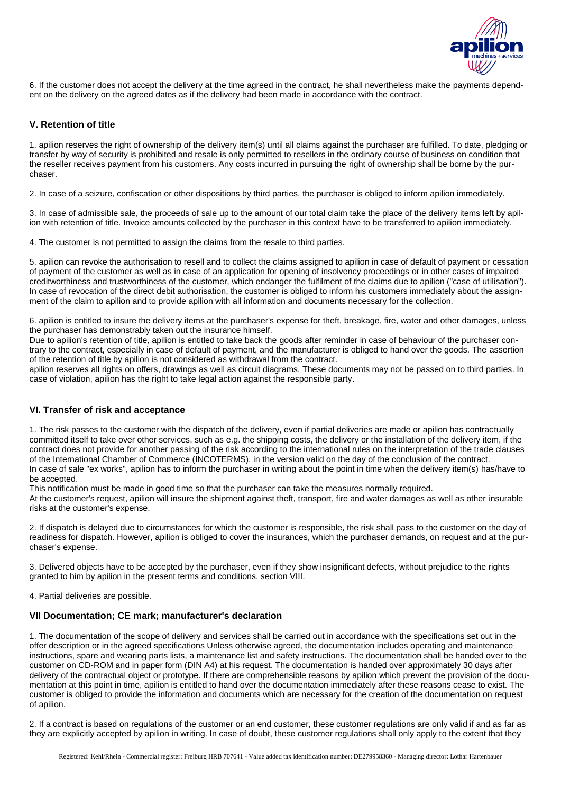

6. If the customer does not accept the delivery at the time agreed in the contract, he shall nevertheless make the payments dependent on the delivery on the agreed dates as if the delivery had been made in accordance with the contract.

## **V. Retention of title**

1. apilion reserves the right of ownership of the delivery item(s) until all claims against the purchaser are fulfilled. To date, pledging or transfer by way of security is prohibited and resale is only permitted to resellers in the ordinary course of business on condition that the reseller receives payment from his customers. Any costs incurred in pursuing the right of ownership shall be borne by the purchaser.

2. In case of a seizure, confiscation or other dispositions by third parties, the purchaser is obliged to inform apilion immediately.

3. In case of admissible sale, the proceeds of sale up to the amount of our total claim take the place of the delivery items left by apilion with retention of title. Invoice amounts collected by the purchaser in this context have to be transferred to apilion immediately.

4. The customer is not permitted to assign the claims from the resale to third parties.

5. apilion can revoke the authorisation to resell and to collect the claims assigned to apilion in case of default of payment or cessation of payment of the customer as well as in case of an application for opening of insolvency proceedings or in other cases of impaired creditworthiness and trustworthiness of the customer, which endanger the fulfilment of the claims due to apilion ("case of utilisation"). In case of revocation of the direct debit authorisation, the customer is obliged to inform his customers immediately about the assignment of the claim to apilion and to provide apilion with all information and documents necessary for the collection.

6. apilion is entitled to insure the delivery items at the purchaser's expense for theft, breakage, fire, water and other damages, unless the purchaser has demonstrably taken out the insurance himself.

Due to apilion's retention of title, apilion is entitled to take back the goods after reminder in case of behaviour of the purchaser contrary to the contract, especially in case of default of payment, and the manufacturer is obliged to hand over the goods. The assertion of the retention of title by apilion is not considered as withdrawal from the contract.

apilion reserves all rights on offers, drawings as well as circuit diagrams. These documents may not be passed on to third parties. In case of violation, apilion has the right to take legal action against the responsible party.

## **VI. Transfer of risk and acceptance**

1. The risk passes to the customer with the dispatch of the delivery, even if partial deliveries are made or apilion has contractually committed itself to take over other services, such as e.g. the shipping costs, the delivery or the installation of the delivery item, if the contract does not provide for another passing of the risk according to the international rules on the interpretation of the trade clauses of the International Chamber of Commerce (INCOTERMS), in the version valid on the day of the conclusion of the contract. In case of sale "ex works", apilion has to inform the purchaser in writing about the point in time when the delivery item(s) has/have to be accepted.

This notification must be made in good time so that the purchaser can take the measures normally required.

At the customer's request, apilion will insure the shipment against theft, transport, fire and water damages as well as other insurable risks at the customer's expense.

2. If dispatch is delayed due to circumstances for which the customer is responsible, the risk shall pass to the customer on the day of readiness for dispatch. However, apilion is obliged to cover the insurances, which the purchaser demands, on request and at the purchaser's expense.

3. Delivered objects have to be accepted by the purchaser, even if they show insignificant defects, without prejudice to the rights granted to him by apilion in the present terms and conditions, section VIII.

4. Partial deliveries are possible.

## **VII Documentation; CE mark; manufacturer's declaration**

1. The documentation of the scope of delivery and services shall be carried out in accordance with the specifications set out in the offer description or in the agreed specifications Unless otherwise agreed, the documentation includes operating and maintenance instructions, spare and wearing parts lists, a maintenance list and safety instructions. The documentation shall be handed over to the customer on CD-ROM and in paper form (DIN A4) at his request. The documentation is handed over approximately 30 days after delivery of the contractual object or prototype. If there are comprehensible reasons by apilion which prevent the provision of the documentation at this point in time, apilion is entitled to hand over the documentation immediately after these reasons cease to exist. The customer is obliged to provide the information and documents which are necessary for the creation of the documentation on request of apilion.

2. If a contract is based on regulations of the customer or an end customer, these customer regulations are only valid if and as far as they are explicitly accepted by apilion in writing. In case of doubt, these customer regulations shall only apply to the extent that they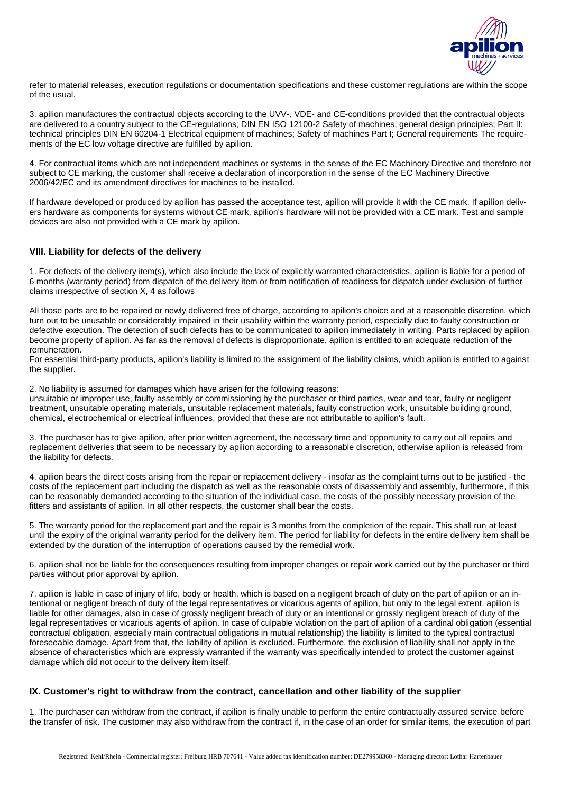

refer to material releases, execution regulations or documentation specifications and these customer regulations are within the scope of the usual.

3. apilion manufactures the contractual objects according to the UVV-, VDE- and CE-conditions provided that the contractual objects are delivered to a country subject to the CE-regulations; DIN EN ISO 12100-2 Safety of machines, general design principles; Part II: technical principles DIN EN 60204-1 Electrical equipment of machines; Safety of machines Part I; General requirements The requirements of the EC low voltage directive are fulfilled by apilion.

4. For contractual items which are not independent machines or systems in the sense of the EC Machinery Directive and therefore not subject to CE marking, the customer shall receive a declaration of incorporation in the sense of the EC Machinery Directive 2006/42/EC and its amendment directives for machines to be installed.

If hardware developed or produced by apilion has passed the acceptance test, apilion will provide it with the CE mark. If apilion delivers hardware as components for systems without CE mark, apilion's hardware will not be provided with a CE mark. Test and sample devices are also not provided with a CE mark by apilion.

# **VIII. Liability for defects of the delivery**

1. For defects of the delivery item(s), which also include the lack of explicitly warranted characteristics, apilion is liable for a period of 6 months (warranty period) from dispatch of the delivery item or from notification of readiness for dispatch under exclusion of further claims irrespective of section X, 4 as follows

All those parts are to be repaired or newly delivered free of charge, according to apilion's choice and at a reasonable discretion, which turn out to be unusable or considerably impaired in their usability within the warranty period, especially due to faulty construction or defective execution. The detection of such defects has to be communicated to apilion immediately in writing. Parts replaced by apilion become property of apilion. As far as the removal of defects is disproportionate, apilion is entitled to an adequate reduction of the remuneration.

For essential third-party products, apilion's liability is limited to the assignment of the liability claims, which apilion is entitled to against the supplier.

2. No liability is assumed for damages which have arisen for the following reasons:

unsuitable or improper use, faulty assembly or commissioning by the purchaser or third parties, wear and tear, faulty or negligent treatment, unsuitable operating materials, unsuitable replacement materials, faulty construction work, unsuitable building ground, chemical, electrochemical or electrical influences, provided that these are not attributable to apilion's fault.

3. The purchaser has to give apilion, after prior written agreement, the necessary time and opportunity to carry out all repairs and replacement deliveries that seem to be necessary by apilion according to a reasonable discretion, otherwise apilion is released from the liability for defects.

4. apilion bears the direct costs arising from the repair or replacement delivery - insofar as the complaint turns out to be justified - the costs of the replacement part including the dispatch as well as the reasonable costs of disassembly and assembly, furthermore, if this can be reasonably demanded according to the situation of the individual case, the costs of the possibly necessary provision of the fitters and assistants of apilion. In all other respects, the customer shall bear the costs.

5. The warranty period for the replacement part and the repair is 3 months from the completion of the repair. This shall run at least until the expiry of the original warranty period for the delivery item. The period for liability for defects in the entire delivery item shall be extended by the duration of the interruption of operations caused by the remedial work.

6. apilion shall not be liable for the consequences resulting from improper changes or repair work carried out by the purchaser or third parties without prior approval by apilion.

7. apilion is liable in case of injury of life, body or health, which is based on a negligent breach of duty on the part of apilion or an intentional or negligent breach of duty of the legal representatives or vicarious agents of apilion, but only to the legal extent. apilion is liable for other damages, also in case of grossly negligent breach of duty or an intentional or grossly negligent breach of duty of the legal representatives or vicarious agents of apilion. In case of culpable violation on the part of apilion of a cardinal obligation (essential contractual obligation, especially main contractual obligations in mutual relationship) the liability is limited to the typical contractual foreseeable damage. Apart from that, the liability of apilion is excluded. Furthermore, the exclusion of liability shall not apply in the absence of characteristics which are expressly warranted if the warranty was specifically intended to protect the customer against damage which did not occur to the delivery item itself.

## **IX. Customer's right to withdraw from the contract, cancellation and other liability of the supplier**

1. The purchaser can withdraw from the contract, if apilion is finally unable to perform the entire contractually assured service before the transfer of risk. The customer may also withdraw from the contract if, in the case of an order for similar items, the execution of part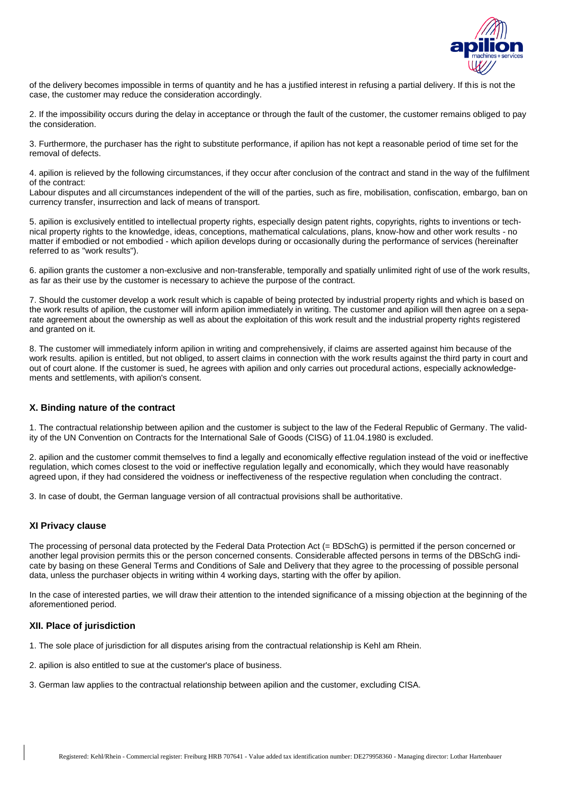

of the delivery becomes impossible in terms of quantity and he has a justified interest in refusing a partial delivery. If this is not the case, the customer may reduce the consideration accordingly.

2. If the impossibility occurs during the delay in acceptance or through the fault of the customer, the customer remains obliged to pay the consideration.

3. Furthermore, the purchaser has the right to substitute performance, if apilion has not kept a reasonable period of time set for the removal of defects.

4. apilion is relieved by the following circumstances, if they occur after conclusion of the contract and stand in the way of the fulfilment of the contract:

Labour disputes and all circumstances independent of the will of the parties, such as fire, mobilisation, confiscation, embargo, ban on currency transfer, insurrection and lack of means of transport.

5. apilion is exclusively entitled to intellectual property rights, especially design patent rights, copyrights, rights to inventions or technical property rights to the knowledge, ideas, conceptions, mathematical calculations, plans, know-how and other work results - no matter if embodied or not embodied - which apilion develops during or occasionally during the performance of services (hereinafter referred to as "work results").

6. apilion grants the customer a non-exclusive and non-transferable, temporally and spatially unlimited right of use of the work results, as far as their use by the customer is necessary to achieve the purpose of the contract.

7. Should the customer develop a work result which is capable of being protected by industrial property rights and which is based on the work results of apilion, the customer will inform apilion immediately in writing. The customer and apilion will then agree on a separate agreement about the ownership as well as about the exploitation of this work result and the industrial property rights registered and granted on it.

8. The customer will immediately inform apilion in writing and comprehensively, if claims are asserted against him because of the work results. apilion is entitled, but not obliged, to assert claims in connection with the work results against the third party in court and out of court alone. If the customer is sued, he agrees with apilion and only carries out procedural actions, especially acknowledgements and settlements, with apilion's consent.

## **X. Binding nature of the contract**

1. The contractual relationship between apilion and the customer is subject to the law of the Federal Republic of Germany. The validity of the UN Convention on Contracts for the International Sale of Goods (CISG) of 11.04.1980 is excluded.

2. apilion and the customer commit themselves to find a legally and economically effective regulation instead of the void or ineffective regulation, which comes closest to the void or ineffective regulation legally and economically, which they would have reasonably agreed upon, if they had considered the voidness or ineffectiveness of the respective regulation when concluding the contract.

3. In case of doubt, the German language version of all contractual provisions shall be authoritative.

#### **XI Privacy clause**

The processing of personal data protected by the Federal Data Protection Act (= BDSchG) is permitted if the person concerned or another legal provision permits this or the person concerned consents. Considerable affected persons in terms of the DBSchG indicate by basing on these General Terms and Conditions of Sale and Delivery that they agree to the processing of possible personal data, unless the purchaser objects in writing within 4 working days, starting with the offer by apilion.

In the case of interested parties, we will draw their attention to the intended significance of a missing objection at the beginning of the aforementioned period.

#### **XII. Place of jurisdiction**

- 1. The sole place of jurisdiction for all disputes arising from the contractual relationship is Kehl am Rhein.
- 2. apilion is also entitled to sue at the customer's place of business.
- 3. German law applies to the contractual relationship between apilion and the customer, excluding CISA.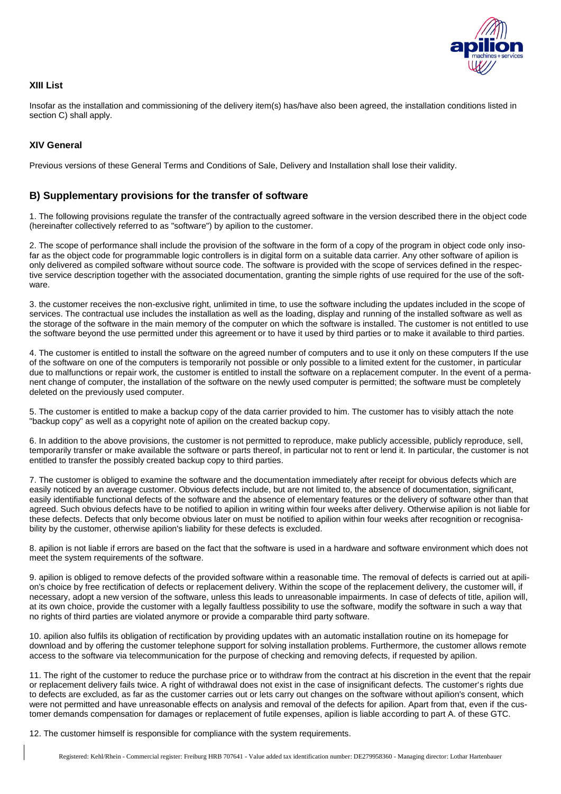

## **XIII List**

Insofar as the installation and commissioning of the delivery item(s) has/have also been agreed, the installation conditions listed in section C) shall apply.

## **XIV General**

Previous versions of these General Terms and Conditions of Sale, Delivery and Installation shall lose their validity.

# **B) Supplementary provisions for the transfer of software**

1. The following provisions regulate the transfer of the contractually agreed software in the version described there in the object code (hereinafter collectively referred to as "software") by apilion to the customer.

2. The scope of performance shall include the provision of the software in the form of a copy of the program in object code only insofar as the object code for programmable logic controllers is in digital form on a suitable data carrier. Any other software of apilion is only delivered as compiled software without source code. The software is provided with the scope of services defined in the respective service description together with the associated documentation, granting the simple rights of use required for the use of the software.

3. the customer receives the non-exclusive right, unlimited in time, to use the software including the updates included in the scope of services. The contractual use includes the installation as well as the loading, display and running of the installed software as well as the storage of the software in the main memory of the computer on which the software is installed. The customer is not entitled to use the software beyond the use permitted under this agreement or to have it used by third parties or to make it available to third parties.

4. The customer is entitled to install the software on the agreed number of computers and to use it only on these computers If the use of the software on one of the computers is temporarily not possible or only possible to a limited extent for the customer, in particular due to malfunctions or repair work, the customer is entitled to install the software on a replacement computer. In the event of a permanent change of computer, the installation of the software on the newly used computer is permitted; the software must be completely deleted on the previously used computer.

5. The customer is entitled to make a backup copy of the data carrier provided to him. The customer has to visibly attach the note "backup copy" as well as a copyright note of apilion on the created backup copy.

6. In addition to the above provisions, the customer is not permitted to reproduce, make publicly accessible, publicly reproduce, sell, temporarily transfer or make available the software or parts thereof, in particular not to rent or lend it. In particular, the customer is not entitled to transfer the possibly created backup copy to third parties.

7. The customer is obliged to examine the software and the documentation immediately after receipt for obvious defects which are easily noticed by an average customer. Obvious defects include, but are not limited to, the absence of documentation, significant, easily identifiable functional defects of the software and the absence of elementary features or the delivery of software other than that agreed. Such obvious defects have to be notified to apilion in writing within four weeks after delivery. Otherwise apilion is not liable for these defects. Defects that only become obvious later on must be notified to apilion within four weeks after recognition or recognisability by the customer, otherwise apilion's liability for these defects is excluded.

8. apilion is not liable if errors are based on the fact that the software is used in a hardware and software environment which does not meet the system requirements of the software.

9. apilion is obliged to remove defects of the provided software within a reasonable time. The removal of defects is carried out at apilion's choice by free rectification of defects or replacement delivery. Within the scope of the replacement delivery, the customer will, if necessary, adopt a new version of the software, unless this leads to unreasonable impairments. In case of defects of title, apilion will, at its own choice, provide the customer with a legally faultless possibility to use the software, modify the software in such a way that no rights of third parties are violated anymore or provide a comparable third party software.

10. apilion also fulfils its obligation of rectification by providing updates with an automatic installation routine on its homepage for download and by offering the customer telephone support for solving installation problems. Furthermore, the customer allows remote access to the software via telecommunication for the purpose of checking and removing defects, if requested by apilion.

11. The right of the customer to reduce the purchase price or to withdraw from the contract at his discretion in the event that the repair or replacement delivery fails twice. A right of withdrawal does not exist in the case of insignificant defects. The customer's rights due to defects are excluded, as far as the customer carries out or lets carry out changes on the software without apilion's consent, which were not permitted and have unreasonable effects on analysis and removal of the defects for apilion. Apart from that, even if the customer demands compensation for damages or replacement of futile expenses, apilion is liable according to part A. of these GTC.

12. The customer himself is responsible for compliance with the system requirements.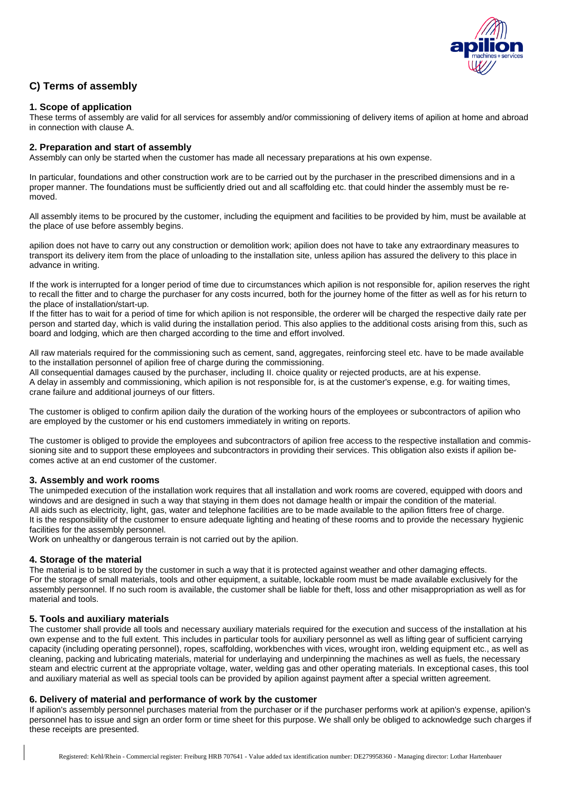

# **C) Terms of assembly**

# **1. Scope of application**

These terms of assembly are valid for all services for assembly and/or commissioning of delivery items of apilion at home and abroad in connection with clause A.

#### **2. Preparation and start of assembly**

Assembly can only be started when the customer has made all necessary preparations at his own expense.

In particular, foundations and other construction work are to be carried out by the purchaser in the prescribed dimensions and in a proper manner. The foundations must be sufficiently dried out and all scaffolding etc. that could hinder the assembly must be removed.

All assembly items to be procured by the customer, including the equipment and facilities to be provided by him, must be available at the place of use before assembly begins.

apilion does not have to carry out any construction or demolition work; apilion does not have to take any extraordinary measures to transport its delivery item from the place of unloading to the installation site, unless apilion has assured the delivery to this place in advance in writing.

If the work is interrupted for a longer period of time due to circumstances which apilion is not responsible for, apilion reserves the right to recall the fitter and to charge the purchaser for any costs incurred, both for the journey home of the fitter as well as for his return to the place of installation/start-up.

If the fitter has to wait for a period of time for which apilion is not responsible, the orderer will be charged the respective daily rate per person and started day, which is valid during the installation period. This also applies to the additional costs arising from this, such as board and lodging, which are then charged according to the time and effort involved.

All raw materials required for the commissioning such as cement, sand, aggregates, reinforcing steel etc. have to be made available to the installation personnel of apilion free of charge during the commissioning.

All consequential damages caused by the purchaser, including II. choice quality or rejected products, are at his expense. A delay in assembly and commissioning, which apilion is not responsible for, is at the customer's expense, e.g. for waiting times, crane failure and additional journeys of our fitters.

The customer is obliged to confirm apilion daily the duration of the working hours of the employees or subcontractors of apilion who are employed by the customer or his end customers immediately in writing on reports.

The customer is obliged to provide the employees and subcontractors of apilion free access to the respective installation and commissioning site and to support these employees and subcontractors in providing their services. This obligation also exists if apilion becomes active at an end customer of the customer.

## **3. Assembly and work rooms**

The unimpeded execution of the installation work requires that all installation and work rooms are covered, equipped with doors and windows and are designed in such a way that staying in them does not damage health or impair the condition of the material. All aids such as electricity, light, gas, water and telephone facilities are to be made available to the apilion fitters free of charge. It is the responsibility of the customer to ensure adequate lighting and heating of these rooms and to provide the necessary hygienic facilities for the assembly personnel.

Work on unhealthy or dangerous terrain is not carried out by the apilion.

## **4. Storage of the material**

The material is to be stored by the customer in such a way that it is protected against weather and other damaging effects. For the storage of small materials, tools and other equipment, a suitable, lockable room must be made available exclusively for the assembly personnel. If no such room is available, the customer shall be liable for theft, loss and other misappropriation as well as for material and tools.

## **5. Tools and auxiliary materials**

The customer shall provide all tools and necessary auxiliary materials required for the execution and success of the installation at his own expense and to the full extent. This includes in particular tools for auxiliary personnel as well as lifting gear of sufficient carrying capacity (including operating personnel), ropes, scaffolding, workbenches with vices, wrought iron, welding equipment etc., as well as cleaning, packing and lubricating materials, material for underlaying and underpinning the machines as well as fuels, the necessary steam and electric current at the appropriate voltage, water, welding gas and other operating materials. In exceptional cases, this tool and auxiliary material as well as special tools can be provided by apilion against payment after a special written agreement.

## **6. Delivery of material and performance of work by the customer**

If apilion's assembly personnel purchases material from the purchaser or if the purchaser performs work at apilion's expense, apilion's personnel has to issue and sign an order form or time sheet for this purpose. We shall only be obliged to acknowledge such charges if these receipts are presented.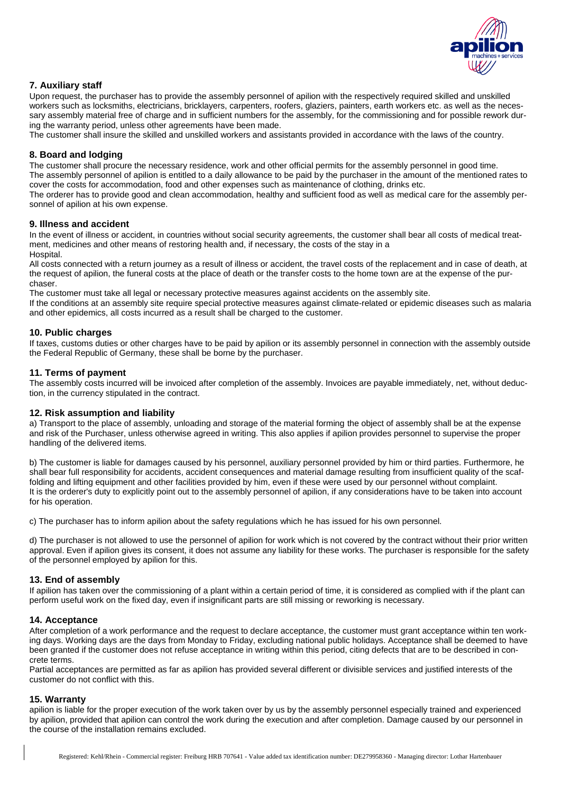

## **7. Auxiliary staff**

Upon request, the purchaser has to provide the assembly personnel of apilion with the respectively required skilled and unskilled workers such as locksmiths, electricians, bricklayers, carpenters, roofers, glaziers, painters, earth workers etc. as well as the necessary assembly material free of charge and in sufficient numbers for the assembly, for the commissioning and for possible rework during the warranty period, unless other agreements have been made.

The customer shall insure the skilled and unskilled workers and assistants provided in accordance with the laws of the country.

## **8. Board and lodging**

The customer shall procure the necessary residence, work and other official permits for the assembly personnel in good time. The assembly personnel of apilion is entitled to a daily allowance to be paid by the purchaser in the amount of the mentioned rates to cover the costs for accommodation, food and other expenses such as maintenance of clothing, drinks etc.

The orderer has to provide good and clean accommodation, healthy and sufficient food as well as medical care for the assembly personnel of apilion at his own expense.

#### **9. Illness and accident**

In the event of illness or accident, in countries without social security agreements, the customer shall bear all costs of medical treatment, medicines and other means of restoring health and, if necessary, the costs of the stay in a

Hospital.

All costs connected with a return journey as a result of illness or accident, the travel costs of the replacement and in case of death, at the request of apilion, the funeral costs at the place of death or the transfer costs to the home town are at the expense of the purchaser.

The customer must take all legal or necessary protective measures against accidents on the assembly site.

If the conditions at an assembly site require special protective measures against climate-related or epidemic diseases such as malaria and other epidemics, all costs incurred as a result shall be charged to the customer.

#### **10. Public charges**

If taxes, customs duties or other charges have to be paid by apilion or its assembly personnel in connection with the assembly outside the Federal Republic of Germany, these shall be borne by the purchaser.

## **11. Terms of payment**

The assembly costs incurred will be invoiced after completion of the assembly. Invoices are payable immediately, net, without deduction, in the currency stipulated in the contract.

#### **12. Risk assumption and liability**

a) Transport to the place of assembly, unloading and storage of the material forming the object of assembly shall be at the expense and risk of the Purchaser, unless otherwise agreed in writing. This also applies if apilion provides personnel to supervise the proper handling of the delivered items.

b) The customer is liable for damages caused by his personnel, auxiliary personnel provided by him or third parties. Furthermore, he shall bear full responsibility for accidents, accident consequences and material damage resulting from insufficient quality of the scaffolding and lifting equipment and other facilities provided by him, even if these were used by our personnel without complaint. It is the orderer's duty to explicitly point out to the assembly personnel of apilion, if any considerations have to be taken into account for his operation.

c) The purchaser has to inform apilion about the safety regulations which he has issued for his own personnel.

d) The purchaser is not allowed to use the personnel of apilion for work which is not covered by the contract without their prior written approval. Even if apilion gives its consent, it does not assume any liability for these works. The purchaser is responsible for the safety of the personnel employed by apilion for this.

#### **13. End of assembly**

If apilion has taken over the commissioning of a plant within a certain period of time, it is considered as complied with if the plant can perform useful work on the fixed day, even if insignificant parts are still missing or reworking is necessary.

#### **14. Acceptance**

After completion of a work performance and the request to declare acceptance, the customer must grant acceptance within ten working days. Working days are the days from Monday to Friday, excluding national public holidays. Acceptance shall be deemed to have been granted if the customer does not refuse acceptance in writing within this period, citing defects that are to be described in concrete terms.

Partial acceptances are permitted as far as apilion has provided several different or divisible services and justified interests of the customer do not conflict with this.

#### **15. Warranty**

apilion is liable for the proper execution of the work taken over by us by the assembly personnel especially trained and experienced by apilion, provided that apilion can control the work during the execution and after completion. Damage caused by our personnel in the course of the installation remains excluded.